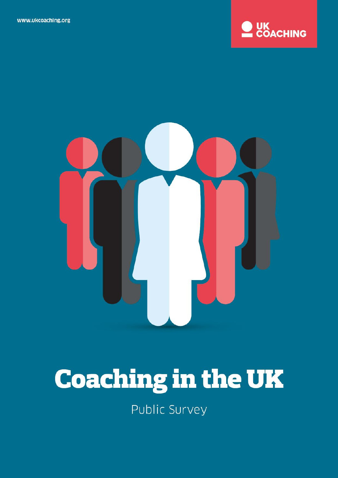



# **Coaching in the UK**

Public Survey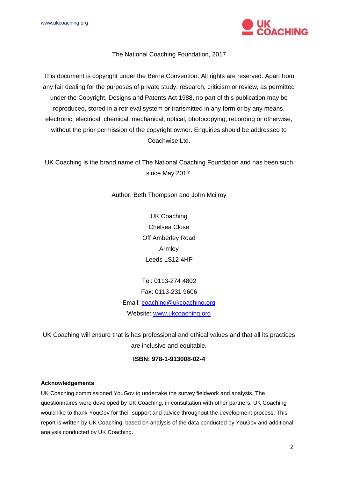

#### The National Coaching Foundation, 2017

This document is copyright under the Berne Convention. All rights are reserved. Apart from any fair dealing for the purposes of private study, research, criticism or review, as permitted under the Copyright, Designs and Patents Act 1988, no part of this publication may be reproduced, stored in a retrieval system or transmitted in any form or by any means, electronic, electrical, chemical, mechanical, optical, photocopying, recording or otherwise, without the prior permission of the copyright owner. Enquiries should be addressed to Coachwise Ltd.

UK Coaching is the brand name of The National Coaching Foundation and has been such since May 2017.

Author: Beth Thompson and John Mcilroy

UK Coaching Chelsea Close Off Amberley Road Armley Leeds LS12 4HP

Tel: 0113-274 4802 Fax: 0113-231 9606 Email: [coaching@ukcoaching.org](mailto:coaching@ukcoaching.org) Website: [www.ukcoaching.org](http://www.ukcoaching.org/)

UK Coaching will ensure that is has professional and ethical values and that all its practices are inclusive and equitable.

#### **ISBN: 978-1-913008-02-4**

#### **Acknowledgements**

UK Coaching commissioned YouGov to undertake the survey fieldwork and analysis. The questionnaires were developed by UK Coaching, in consultation with other partners. UK Coaching would like to thank YouGov for their support and advice throughout the development process. This report is written by UK Coaching, based on analysis of the data conducted by YouGov and additional analysis conducted by UK Coaching.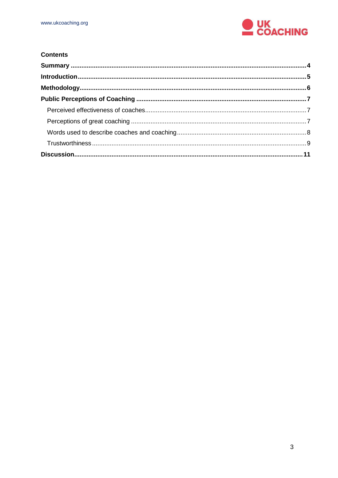

#### **Contents**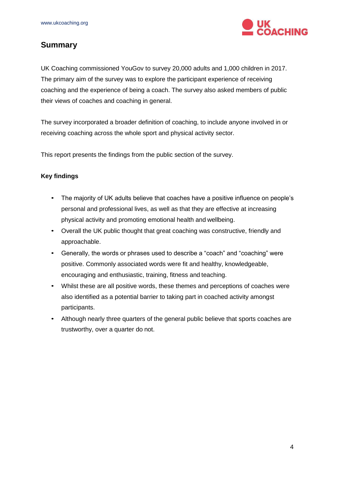

# <span id="page-3-0"></span>**Summary**

UK Coaching commissioned YouGov to survey 20,000 adults and 1,000 children in 2017. The primary aim of the survey was to explore the participant experience of receiving coaching and the experience of being a coach. The survey also asked members of public their views of coaches and coaching in general.

The survey incorporated a broader definition of coaching, to include anyone involved in or receiving coaching across the whole sport and physical activity sector.

This report presents the findings from the public section of the survey.

## **Key findings**

- The majority of UK adults believe that coaches have a positive influence on people's personal and professional lives, as well as that they are effective at increasing physical activity and promoting emotional health and wellbeing.
- Overall the UK public thought that great coaching was constructive, friendly and approachable.
- Generally, the words or phrases used to describe a "coach" and "coaching" were positive. Commonly associated words were fit and healthy, knowledgeable, encouraging and enthusiastic, training, fitness and teaching.
- Whilst these are all positive words, these themes and perceptions of coaches were also identified as a potential barrier to taking part in coached activity amongst participants.
- Although nearly three quarters of the general public believe that sports coaches are trustworthy, over a quarter do not.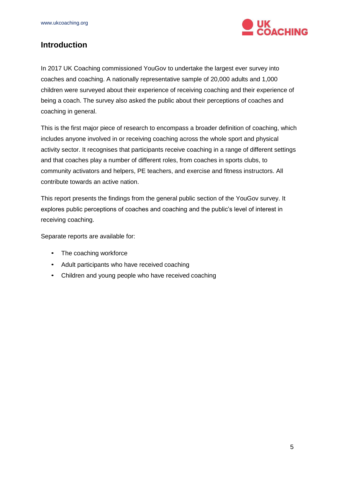

## <span id="page-4-0"></span>**Introduction**

In 2017 UK Coaching commissioned YouGov to undertake the largest ever survey into coaches and coaching. A nationally representative sample of 20,000 adults and 1,000 children were surveyed about their experience of receiving coaching and their experience of being a coach. The survey also asked the public about their perceptions of coaches and coaching in general.

This is the first major piece of research to encompass a broader definition of coaching, which includes anyone involved in or receiving coaching across the whole sport and physical activity sector. It recognises that participants receive coaching in a range of different settings and that coaches play a number of different roles, from coaches in sports clubs, to community activators and helpers, PE teachers, and exercise and fitness instructors. All contribute towards an active nation.

This report presents the findings from the general public section of the YouGov survey. It explores public perceptions of coaches and coaching and the public's level of interest in receiving coaching.

Separate reports are available for:

- The coaching workforce
- Adult participants who have received coaching
- Children and young people who have received coaching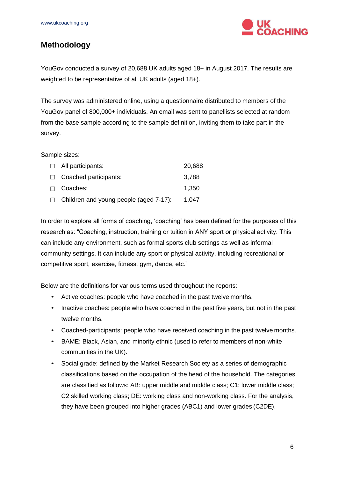

# <span id="page-5-0"></span>**Methodology**

YouGov conducted a survey of 20,688 UK adults aged 18+ in August 2017. The results are weighted to be representative of all UK adults (aged 18+).

The survey was administered online, using a questionnaire distributed to members of the YouGov panel of 800,000+ individuals. An email was sent to panellists selected at random from the base sample according to the sample definition, inviting them to take part in the survey.

#### Sample sizes:

| $\Box$ All participants:                      | 20,688 |
|-----------------------------------------------|--------|
| $\Box$ Coached participants:                  | 3,788  |
| $\Box$ Coaches:                               | 1,350  |
| $\Box$ Children and young people (aged 7-17): | 1,047  |

In order to explore all forms of coaching, 'coaching' has been defined for the purposes of this research as: "Coaching, instruction, training or tuition in ANY sport or physical activity. This can include any environment, such as formal sports club settings as well as informal community settings. It can include any sport or physical activity, including recreational or competitive sport, exercise, fitness, gym, dance, etc."

Below are the definitions for various terms used throughout the reports:

- Active coaches: people who have coached in the past twelve months.
- Inactive coaches: people who have coached in the past five years, but not in the past twelve months.
- Coached-participants: people who have received coaching in the past twelve months.
- BAME: Black, Asian, and minority ethnic (used to refer to members of non-white communities in the UK).
- Social grade: defined by the Market Research Society as a series of demographic classifications based on the occupation of the head of the household. The categories are classified as follows: AB: upper middle and middle class; C1: lower middle class; C2 skilled working class; DE: working class and non-working class. For the analysis, they have been grouped into higher grades (ABC1) and lower grades (C2DE).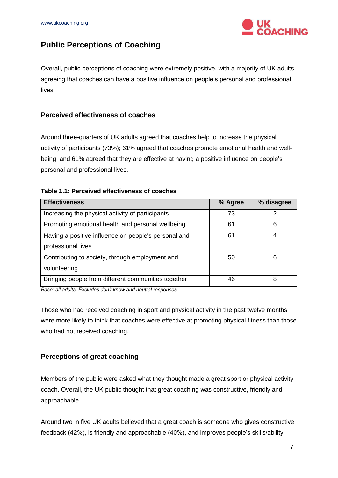

# <span id="page-6-0"></span>**Public Perceptions of Coaching**

Overall, public perceptions of coaching were extremely positive, with a majority of UK adults agreeing that coaches can have a positive influence on people's personal and professional lives.

## <span id="page-6-1"></span>**Perceived effectiveness of coaches**

Around three-quarters of UK adults agreed that coaches help to increase the physical activity of participants (73%); 61% agreed that coaches promote emotional health and wellbeing; and 61% agreed that they are effective at having a positive influence on people's personal and professional lives.

#### **Table 1.1: Perceived effectiveness of coaches**

| <b>Effectiveness</b>                                 | % Agree | % disagree |
|------------------------------------------------------|---------|------------|
| Increasing the physical activity of participants     | 73      | 2          |
| Promoting emotional health and personal wellbeing    | 61      | 6          |
| Having a positive influence on people's personal and | 61      | 4          |
| professional lives                                   |         |            |
| Contributing to society, through employment and      | 50      | 6          |
| volunteering                                         |         |            |
| Bringing people from different communities together  | 46      | 8          |

*Base: all adults. Excludes don't know and neutral responses.*

Those who had received coaching in sport and physical activity in the past twelve months were more likely to think that coaches were effective at promoting physical fitness than those who had not received coaching.

#### <span id="page-6-2"></span>**Perceptions of great coaching**

Members of the public were asked what they thought made a great sport or physical activity coach. Overall, the UK public thought that great coaching was constructive, friendly and approachable.

Around two in five UK adults believed that a great coach is someone who gives constructive feedback (42%), is friendly and approachable (40%), and improves people's skills/ability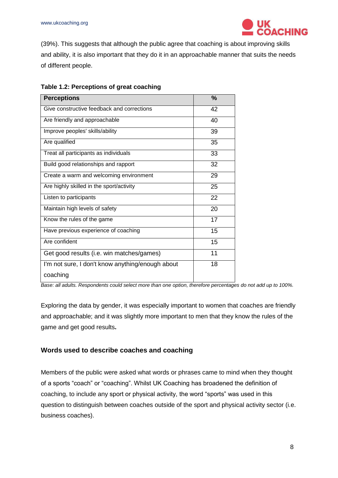

(39%). This suggests that although the public agree that coaching is about improving skills and ability, it is also important that they do it in an approachable manner that suits the needs of different people.

| <b>Perceptions</b>                               | $\frac{9}{6}$ |
|--------------------------------------------------|---------------|
| Give constructive feedback and corrections       | 42            |
| Are friendly and approachable                    | 40            |
| Improve peoples' skills/ability                  | 39            |
| Are qualified                                    | 35            |
| Treat all participants as individuals            | 33            |
| Build good relationships and rapport             | 32            |
| Create a warm and welcoming environment          | 29            |
| Are highly skilled in the sport/activity         | 25            |
| Listen to participants                           | 22            |
| Maintain high levels of safety                   | 20            |
| Know the rules of the game                       | 17            |
| Have previous experience of coaching             | 15            |
| Are confident                                    | 15            |
| Get good results (i.e. win matches/games)        | 11            |
| I'm not sure, I don't know anything/enough about | 18            |
| coaching                                         |               |

*Base: all adults. Respondents could select more than one option, therefore percentages do not add up to 100%.*

Exploring the data by gender, it was especially important to women that coaches are friendly and approachable; and it was slightly more important to men that they know the rules of the game and get good results**.**

#### <span id="page-7-0"></span>**Words used to describe coaches and coaching**

Members of the public were asked what words or phrases came to mind when they thought of a sports "coach" or "coaching". Whilst UK Coaching has broadened the definition of coaching, to include any sport or physical activity, the word "sports" was used in this question to distinguish between coaches outside of the sport and physical activity sector (i.e. business coaches).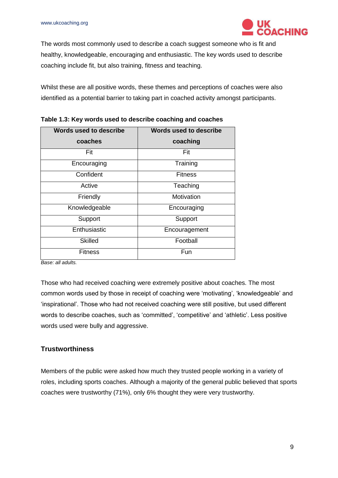

The words most commonly used to describe a coach suggest someone who is fit and healthy, knowledgeable, encouraging and enthusiastic. The key words used to describe coaching include fit, but also training, fitness and teaching.

Whilst these are all positive words, these themes and perceptions of coaches were also identified as a potential barrier to taking part in coached activity amongst participants.

| Words used to describe |  |
|------------------------|--|
| coaching               |  |
| Fit                    |  |
| Training               |  |
| <b>Fitness</b>         |  |
| Teaching               |  |
| Motivation             |  |
| Encouraging            |  |
| Support                |  |
| Encouragement          |  |
| Football               |  |
| Fun                    |  |
|                        |  |

**Table 1.3: Key words used to describe coaching and coaches**

*Base: all adults.*

Those who had received coaching were extremely positive about coaches. The most common words used by those in receipt of coaching were 'motivating', 'knowledgeable' and 'inspirational'. Those who had not received coaching were still positive, but used different words to describe coaches, such as 'committed', 'competitive' and 'athletic'. Less positive words used were bully and aggressive.

## <span id="page-8-0"></span>**Trustworthiness**

Members of the public were asked how much they trusted people working in a variety of roles, including sports coaches. Although a majority of the general public believed that sports coaches were trustworthy (71%), only 6% thought they were very trustworthy.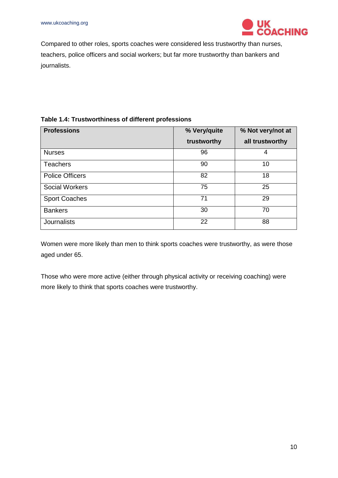

Compared to other roles, sports coaches were considered less trustworthy than nurses, teachers, police officers and social workers; but far more trustworthy than bankers and journalists.

## **Table 1.4: Trustworthiness of different professions**

| <b>Professions</b>     | % Very/quite | % Not very/not at |
|------------------------|--------------|-------------------|
|                        | trustworthy  | all trustworthy   |
| <b>Nurses</b>          | 96           | 4                 |
| <b>Teachers</b>        | 90           | 10                |
| <b>Police Officers</b> | 82           | 18                |
| <b>Social Workers</b>  | 75           | 25                |
| <b>Sport Coaches</b>   | 71           | 29                |
| <b>Bankers</b>         | 30           | 70                |
| <b>Journalists</b>     | 22           | 88                |

Women were more likely than men to think sports coaches were trustworthy, as were those aged under 65.

Those who were more active (either through physical activity or receiving coaching) were more likely to think that sports coaches were trustworthy.